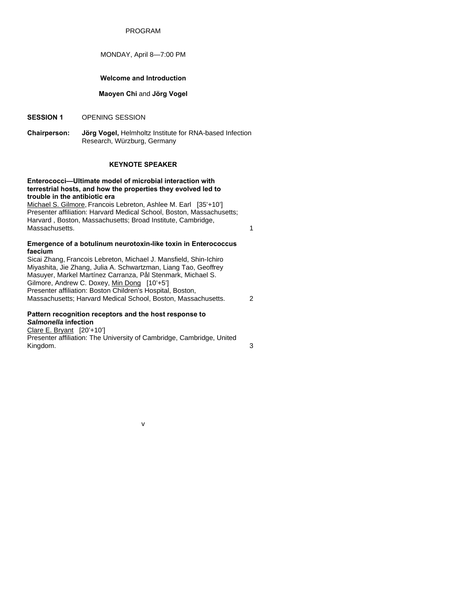## PROGRAM

## MONDAY, April 8—7:00 PM

## **Welcome and Introduction**

## **Maoyen Chi** and **Jörg Vogel**

- **SESSION 1** OPENING SESSION
- **Chairperson: Jörg Vogel,** Helmholtz Institute for RNA-based Infection Research, Würzburg, Germany

# **KEYNOTE SPEAKER**

#### **Enterococci—Ultimate model of microbial interaction with terrestrial hosts, and how the properties they evolved led to trouble in the antibiotic era**

Michael S. Gilmore, Francois Lebreton, Ashlee M. Earl [35'+10'] Presenter affiliation: Harvard Medical School, Boston, Massachusetts; Harvard , Boston, Massachusetts; Broad Institute, Cambridge, Massachusetts. 1

#### **Emergence of a botulinum neurotoxin-like toxin in Enterococcus faecium**

Sicai Zhang, Francois Lebreton, Michael J. Mansfield, Shin-Ichiro Miyashita, Jie Zhang, Julia A. Schwartzman, Liang Tao, Geoffrey Masuyer, Markel Martínez Carranza, Pål Stenmark, Michael S. Gilmore, Andrew C. Doxey, Min Dong [10'+5'] Presenter affiliation: Boston Children's Hospital, Boston, Massachusetts; Harvard Medical School, Boston, Massachusetts. 2

### **Pattern recognition receptors and the host response to**  *Salmonella* **infection**

Clare E. Bryant [20'+10'] Presenter affiliation: The University of Cambridge, Cambridge, United Kingdom. 3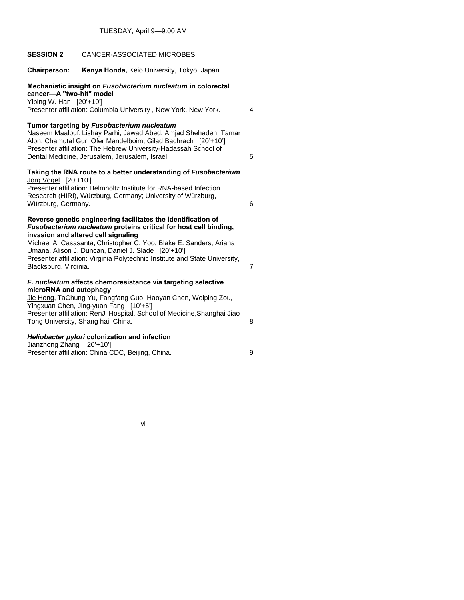| <b>SESSION 2</b>                                             | CANCER-ASSOCIATED MICROBES                                                                                                                                                                                                                                                                                                                   |                |
|--------------------------------------------------------------|----------------------------------------------------------------------------------------------------------------------------------------------------------------------------------------------------------------------------------------------------------------------------------------------------------------------------------------------|----------------|
| <b>Chairperson:</b>                                          | Kenya Honda, Keio University, Tokyo, Japan                                                                                                                                                                                                                                                                                                   |                |
| cancer-A "two-hit" model<br>Yiping W. Han [20'+10']          | Mechanistic insight on Fusobacterium nucleatum in colorectal<br>Presenter affiliation: Columbia University, New York, New York.                                                                                                                                                                                                              | 4              |
|                                                              | Tumor targeting by Fusobacterium nucleatum<br>Naseem Maalouf, Lishay Parhi, Jawad Abed, Amjad Shehadeh, Tamar<br>Alon, Chamutal Gur, Ofer Mandelboim, Gilad Bachrach [20'+10']<br>Presenter affiliation: The Hebrew University-Hadassah School of<br>Dental Medicine, Jerusalem, Jerusalem, Israel.                                          | 5              |
| Jörg Vogel [20'+10']<br>Würzburg, Germany.                   | Taking the RNA route to a better understanding of Fusobacterium<br>Presenter affiliation: Helmholtz Institute for RNA-based Infection<br>Research (HIRI), Würzburg, Germany; University of Würzburg,                                                                                                                                         | 6              |
| invasion and altered cell signaling<br>Blacksburg, Virginia. | Reverse genetic engineering facilitates the identification of<br>Fusobacterium nucleatum proteins critical for host cell binding,<br>Michael A. Casasanta, Christopher C. Yoo, Blake E. Sanders, Ariana<br>Umana, Alison J. Duncan, Daniel J. Slade [20'+10']<br>Presenter affiliation: Virginia Polytechnic Institute and State University, | $\overline{7}$ |
| microRNA and autophagy<br>Tong University, Shang hai, China. | F. nucleatum affects chemoresistance via targeting selective<br>Jie Hong, TaChung Yu, Fangfang Guo, Haoyan Chen, Weiping Zou,<br>Yingxuan Chen, Jing-yuan Fang [10'+5']<br>Presenter affiliation: RenJi Hospital, School of Medicine, Shanghai Jiao                                                                                          | 8              |
| Jianzhong Zhang [20'+10']                                    | Heliobacter pylori colonization and infection<br>Presenter affiliation: China CDC, Beijing, China.                                                                                                                                                                                                                                           | 9              |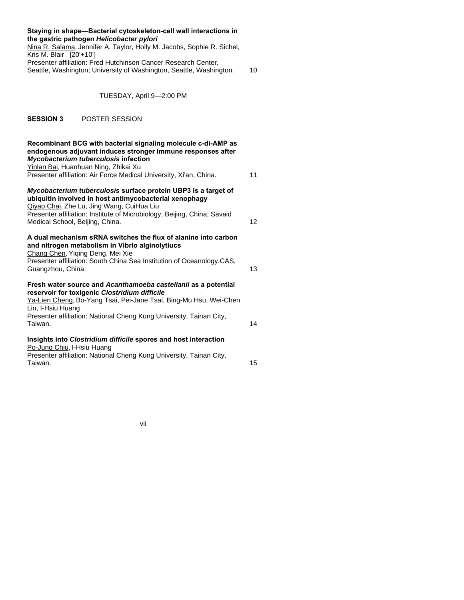| Staying in shape-Bacterial cytoskeleton-cell wall interactions in<br>the gastric pathogen Helicobacter pylori<br>Nina R. Salama, Jennifer A. Taylor, Holly M. Jacobs, Sophie R. Sichel,<br>Kris M. Blair [20'+10']<br>Presenter affiliation: Fred Hutchinson Cancer Research Center,<br>Seattle, Washington; University of Washington, Seattle, Washington. | 10 |
|-------------------------------------------------------------------------------------------------------------------------------------------------------------------------------------------------------------------------------------------------------------------------------------------------------------------------------------------------------------|----|
| TUESDAY, April 9-2:00 PM                                                                                                                                                                                                                                                                                                                                    |    |
| <b>SESSION 3</b><br>POSTER SESSION                                                                                                                                                                                                                                                                                                                          |    |
| Recombinant BCG with bacterial signaling molecule c-di-AMP as<br>endogenous adjuvant induces stronger immune responses after<br>Mycobacterium tuberculosis infection<br>Yinlan Bai, Huanhuan Ning, Zhikai Xu<br>Presenter affiliation: Air Force Medical University, Xi'an, China.                                                                          | 11 |
| Mycobacterium tuberculosis surface protein UBP3 is a target of<br>ubiquitin involved in host antimycobacterial xenophagy<br>Qiyao Chai, Zhe Lu, Jing Wang, CuiHua Liu<br>Presenter affiliation: Institute of Microbiology, Beijing, China; Savaid<br>Medical School, Beijing, China.                                                                        | 12 |
| A dual mechanism sRNA switches the flux of alanine into carbon<br>and nitrogen metabolism in Vibrio alginolytiucs<br>Chang Chen, Yiqing Deng, Mei Xie<br>Presenter affiliation: South China Sea Institution of Oceanology, CAS,<br>Guangzhou, China.                                                                                                        | 13 |
| Fresh water source and Acanthamoeba castellanii as a potential<br>reservoir for toxigenic Clostridium difficile<br>Ya-Lien Cheng, Bo-Yang Tsai, Pei-Jane Tsai, Bing-Mu Hsu, Wei-Chen<br>Lin, I-Hsiu Huang<br>Presenter affiliation: National Cheng Kung University, Tainan City,<br>Taiwan.                                                                 | 14 |
| Insights into Clostridium difficile spores and host interaction<br>Po-Jung Chiu, I-Hsiu Huang<br>Presenter affiliation: National Cheng Kung University, Tainan City,<br>Taiwan.                                                                                                                                                                             | 15 |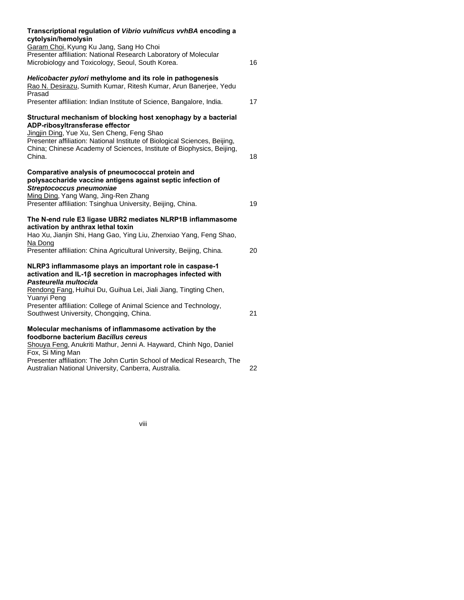| Transcriptional regulation of Vibrio vulnificus vvhBA encoding a<br>cytolysin/hemolysin                                                                                                                                                                                                                          |    |
|------------------------------------------------------------------------------------------------------------------------------------------------------------------------------------------------------------------------------------------------------------------------------------------------------------------|----|
| Garam Choi, Kyung Ku Jang, Sang Ho Choi<br>Presenter affiliation: National Research Laboratory of Molecular<br>Microbiology and Toxicology, Seoul, South Korea.                                                                                                                                                  | 16 |
| Helicobacter pylori methylome and its role in pathogenesis<br>Rao N. Desirazu, Sumith Kumar, Ritesh Kumar, Arun Banerjee, Yedu<br>Prasad                                                                                                                                                                         |    |
| Presenter affiliation: Indian Institute of Science, Bangalore, India.                                                                                                                                                                                                                                            | 17 |
| Structural mechanism of blocking host xenophagy by a bacterial<br>ADP-ribosyltransferase effector<br>Jingjin Ding, Yue Xu, Sen Cheng, Feng Shao<br>Presenter affiliation: National Institute of Biological Sciences, Beijing,<br>China; Chinese Academy of Sciences, Institute of Biophysics, Beijing,<br>China. | 18 |
| Comparative analysis of pneumococcal protein and<br>polysaccharide vaccine antigens against septic infection of<br>Streptococcus pneumoniae<br>Ming Ding, Yang Wang, Jing-Ren Zhang<br>Presenter affiliation: Tsinghua University, Beijing, China.                                                               | 19 |
| The N-end rule E3 ligase UBR2 mediates NLRP1B inflammasome<br>activation by anthrax lethal toxin<br>Hao Xu, Jianjin Shi, Hang Gao, Ying Liu, Zhenxiao Yang, Feng Shao,<br>Na Dong<br>Presenter affiliation: China Agricultural University, Beijing, China.                                                       | 20 |
| NLRP3 inflammasome plays an important role in caspase-1<br>activation and IL-1ß secretion in macrophages infected with<br>Pasteurella multocida                                                                                                                                                                  |    |
| Rendong Fang, Huihui Du, Guihua Lei, Jiali Jiang, Tingting Chen,<br>Yuanyi Peng<br>Presenter affiliation: College of Animal Science and Technology,<br>Southwest University, Chongqing, China.                                                                                                                   | 21 |
| Molecular mechanisms of inflammasome activation by the<br>foodborne bacterium Bacillus cereus<br>Shouya Feng, Anukriti Mathur, Jenni A. Hayward, Chinh Ngo, Daniel<br>Fox, Si Ming Man                                                                                                                           |    |
| Presenter affiliation: The John Curtin School of Medical Research, The<br>Australian National University, Canberra, Australia.                                                                                                                                                                                   | 22 |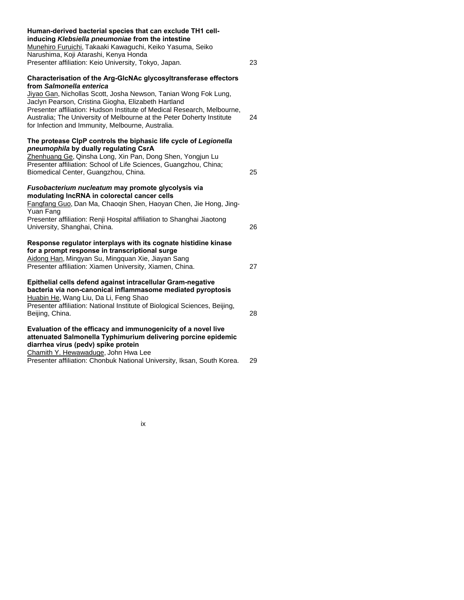| Human-derived bacterial species that can exclude TH1 cell-<br>inducing Klebsiella pneumoniae from the intestine<br>Munehiro Furuichi, Takaaki Kawaguchi, Keiko Yasuma, Seiko<br>Narushima, Koji Atarashi, Kenya Honda                                                                                                           |    |
|---------------------------------------------------------------------------------------------------------------------------------------------------------------------------------------------------------------------------------------------------------------------------------------------------------------------------------|----|
| Presenter affiliation: Keio University, Tokyo, Japan.                                                                                                                                                                                                                                                                           | 23 |
| Characterisation of the Arg-GlcNAc glycosyltransferase effectors<br>from Salmonella enterica                                                                                                                                                                                                                                    |    |
| Jiyao Gan, Nichollas Scott, Josha Newson, Tanian Wong Fok Lung,<br>Jaclyn Pearson, Cristina Giogha, Elizabeth Hartland<br>Presenter affiliation: Hudson Institute of Medical Research, Melbourne,<br>Australia; The University of Melbourne at the Peter Doherty Institute<br>for Infection and Immunity, Melbourne, Australia. | 24 |
| The protease ClpP controls the biphasic life cycle of Legionella<br>pneumophila by dually regulating CsrA<br>Zhenhuang Ge, Qinsha Long, Xin Pan, Dong Shen, Yongjun Lu<br>Presenter affiliation: School of Life Sciences, Guangzhou, China;<br>Biomedical Center, Guangzhou, China.                                             | 25 |
| Fusobacterium nucleatum may promote glycolysis via<br>modulating IncRNA in colorectal cancer cells<br>Fangfang Guo, Dan Ma, Chaoqin Shen, Haoyan Chen, Jie Hong, Jing-<br>Yuan Fang<br>Presenter affiliation: Renji Hospital affiliation to Shanghai Jiaotong<br>University, Shanghai, China.                                   | 26 |
| Response regulator interplays with its cognate histidine kinase<br>for a prompt response in transcriptional surge<br>Aidong Han, Mingyan Su, Mingquan Xie, Jiayan Sang<br>Presenter affiliation: Xiamen University, Xiamen, China.                                                                                              | 27 |
| Epithelial cells defend against intracellular Gram-negative<br>bacteria via non-canonical inflammasome mediated pyroptosis<br>Huabin He, Wang Liu, Da Li, Feng Shao<br>Presenter affiliation: National Institute of Biological Sciences, Beijing,<br>Beijing, China.                                                            | 28 |
| Evaluation of the efficacy and immunogenicity of a novel live<br>attenuated Salmonella Typhimurium delivering porcine epidemic<br>diarrhea virus (pedv) spike protein<br>Chamith Y. Hewawaduge, John Hwa Lee<br>Presenter affiliation: Chonbuk National University, Iksan, South Korea.                                         | 29 |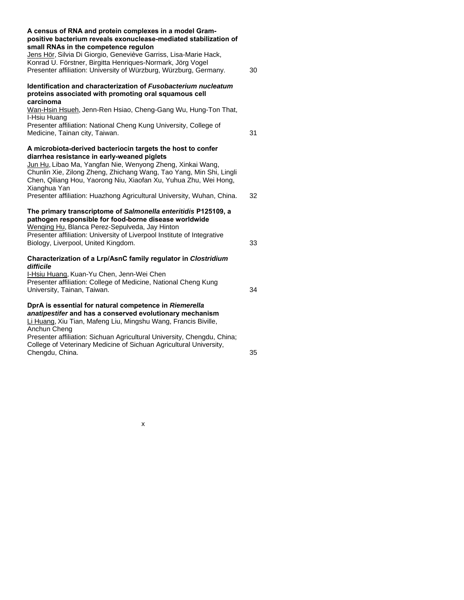| A census of RNA and protein complexes in a model Gram-<br>positive bacterium reveals exonuclease-mediated stabilization of<br>small RNAs in the competence regulon<br>Jens Hör, Silvia Di Giorgio, Geneviève Garriss, Lisa-Marie Hack,<br>Konrad U. Förstner, Birgitta Henriques-Normark, Jörg Vogel<br>Presenter affiliation: University of Würzburg, Würzburg, Germany. | 30 |
|---------------------------------------------------------------------------------------------------------------------------------------------------------------------------------------------------------------------------------------------------------------------------------------------------------------------------------------------------------------------------|----|
| Identification and characterization of Fusobacterium nucleatum<br>proteins associated with promoting oral squamous cell<br>carcinoma                                                                                                                                                                                                                                      |    |
| Wan-Hsin Hsueh, Jenn-Ren Hsiao, Cheng-Gang Wu, Hung-Ton That,<br>I-Hsiu Huang<br>Presenter affiliation: National Cheng Kung University, College of<br>Medicine, Tainan city, Taiwan.                                                                                                                                                                                      | 31 |
| A microbiota-derived bacteriocin targets the host to confer<br>diarrhea resistance in early-weaned piglets<br>Jun Hu, Libao Ma, Yangfan Nie, Wenyong Zheng, Xinkai Wang,<br>Chunlin Xie, Zilong Zheng, Zhichang Wang, Tao Yang, Min Shi, Lingli<br>Chen, Qiliang Hou, Yaorong Niu, Xiaofan Xu, Yuhua Zhu, Wei Hong,<br>Xianghua Yan                                       |    |
| Presenter affiliation: Huazhong Agricultural University, Wuhan, China.                                                                                                                                                                                                                                                                                                    | 32 |
| The primary transcriptome of Salmonella enteritidis P125109, a<br>pathogen responsible for food-borne disease worldwide<br>Wenqing Hu, Blanca Perez-Sepulveda, Jay Hinton<br>Presenter affiliation: University of Liverpool Institute of Integrative<br>Biology, Liverpool, United Kingdom.                                                                               | 33 |
| Characterization of a Lrp/AsnC family regulator in Clostridium                                                                                                                                                                                                                                                                                                            |    |
| difficile<br>I-Hsiu Huang, Kuan-Yu Chen, Jenn-Wei Chen<br>Presenter affiliation: College of Medicine, National Cheng Kung<br>University, Tainan, Taiwan.                                                                                                                                                                                                                  | 34 |
| DprA is essential for natural competence in Riemerella<br>anatipestifer and has a conserved evolutionary mechanism<br>Li Huang, Xiu Tian, Mafeng Liu, Mingshu Wang, Francis Biville,<br>Anchun Cheng                                                                                                                                                                      |    |
| Presenter affiliation: Sichuan Agricultural University, Chengdu, China;<br>College of Veterinary Medicine of Sichuan Agricultural University,<br>Chengdu, China.                                                                                                                                                                                                          | 35 |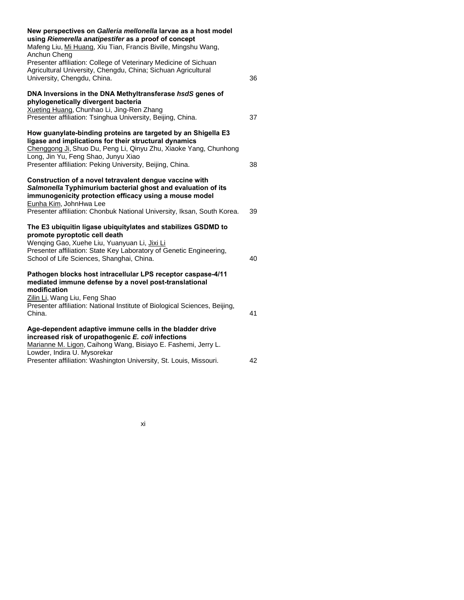| New perspectives on Galleria mellonella larvae as a host model<br>using Riemerella anatipestifer as a proof of concept<br>Mafeng Liu, Mi Huang, Xiu Tian, Francis Biville, Mingshu Wang,<br>Anchun Cheng                                                                                       |    |
|------------------------------------------------------------------------------------------------------------------------------------------------------------------------------------------------------------------------------------------------------------------------------------------------|----|
| Presenter affiliation: College of Veterinary Medicine of Sichuan<br>Agricultural University, Chengdu, China; Sichuan Agricultural<br>University, Chengdu, China.                                                                                                                               | 36 |
| DNA Inversions in the DNA Methyltransferase hsdS genes of<br>phylogenetically divergent bacteria<br>Xueting Huang, Chunhao Li, Jing-Ren Zhang                                                                                                                                                  |    |
| Presenter affiliation: Tsinghua University, Beijing, China.                                                                                                                                                                                                                                    | 37 |
| How guanylate-binding proteins are targeted by an Shigella E3<br>ligase and implications for their structural dynamics<br>Chenggong Ji, Shuo Du, Peng Li, Qinyu Zhu, Xiaoke Yang, Chunhong<br>Long, Jin Yu, Feng Shao, Junyu Xiao<br>Presenter affiliation: Peking University, Beijing, China. | 38 |
| Construction of a novel tetravalent dengue vaccine with<br>Salmonella Typhimurium bacterial ghost and evaluation of its<br>immunogenicity protection efficacy using a mouse model<br>Eunha Kim, JohnHwa Lee<br>Presenter affiliation: Chonbuk National University, Iksan, South Korea.         | 39 |
| The E3 ubiquitin ligase ubiquitylates and stabilizes GSDMD to<br>promote pyroptotic cell death<br>Wenqing Gao, Xuehe Liu, Yuanyuan Li, Jixi Li<br>Presenter affiliation: State Key Laboratory of Genetic Engineering,<br>School of Life Sciences, Shanghai, China.                             | 40 |
| Pathogen blocks host intracellular LPS receptor caspase-4/11<br>mediated immune defense by a novel post-translational<br>modification<br>Zilin Li, Wang Liu, Feng Shao<br>Presenter affiliation: National Institute of Biological Sciences, Beijing,<br>China.                                 | 41 |
| Age-dependent adaptive immune cells in the bladder drive<br>increased risk of uropathogenic E. coli infections<br>Marianne M. Ligon, Caihong Wang, Bisiayo E. Fashemi, Jerry L.<br>Lowder, Indira U. Mysorekar<br>Presenter affiliation: Washington University, St. Louis, Missouri.           | 42 |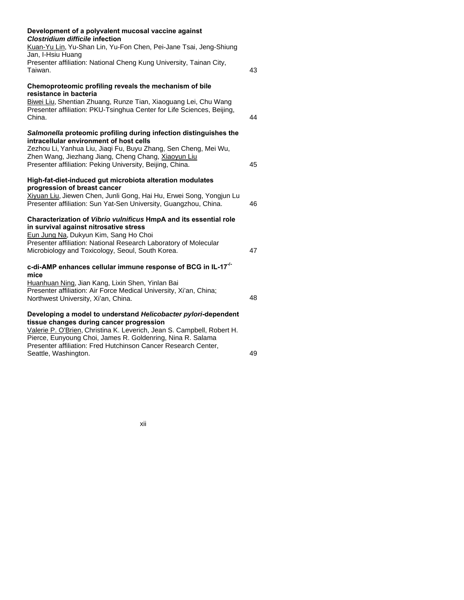| Development of a polyvalent mucosal vaccine against<br><b>Clostridium difficile infection</b>                                                                 |    |
|---------------------------------------------------------------------------------------------------------------------------------------------------------------|----|
| Kuan-Yu Lin, Yu-Shan Lin, Yu-Fon Chen, Pei-Jane Tsai, Jeng-Shiung<br>Jan, I-Hsiu Huang                                                                        |    |
| Presenter affiliation: National Cheng Kung University, Tainan City,<br>Taiwan.                                                                                | 43 |
| Chemoproteomic profiling reveals the mechanism of bile<br>resistance in bacteria                                                                              |    |
| Biwei Liu, Shentian Zhuang, Runze Tian, Xiaoguang Lei, Chu Wang<br>Presenter affiliation: PKU-Tsinghua Center for Life Sciences, Beijing,<br>China.           | 44 |
| Salmonella proteomic profiling during infection distinguishes the<br>intracellular environment of host cells                                                  |    |
| Zezhou Li, Yanhua Liu, Jiaqi Fu, Buyu Zhang, Sen Cheng, Mei Wu,<br>Zhen Wang, Jiezhang Jiang, Cheng Chang, Xiaoyun Liu                                        |    |
| Presenter affiliation: Peking University, Beijing, China.                                                                                                     | 45 |
| High-fat-diet-induced gut microbiota alteration modulates<br>progression of breast cancer                                                                     |    |
| Xiyuan Liu, Jiewen Chen, Junli Gong, Hai Hu, Erwei Song, Yongjun Lu<br>Presenter affiliation: Sun Yat-Sen University, Guangzhou, China.                       | 46 |
| Characterization of Vibrio vulnificus HmpA and its essential role<br>in survival against nitrosative stress                                                   |    |
| Eun Jung Na, Dukyun Kim, Sang Ho Choi<br>Presenter affiliation: National Research Laboratory of Molecular<br>Microbiology and Toxicology, Seoul, South Korea. | 47 |
| c-di-AMP enhances cellular immune response of BCG in IL-17 <sup>-/-</sup>                                                                                     |    |
| mice<br>Huanhuan Ning, Jian Kang, Lixin Shen, Yinlan Bai                                                                                                      |    |
| Presenter affiliation: Air Force Medical University, Xi'an, China;<br>Northwest University, Xi'an, China.                                                     | 48 |
| Developing a model to understand Helicobacter pylori-dependent<br>tissue changes during cancer progression                                                    |    |
| Valerie P. O'Brien, Christina K. Leverich, Jean S. Campbell, Robert H.<br>Pierce, Eunyoung Choi, James R. Goldenring, Nina R. Salama                          |    |
| Presenter affiliation: Fred Hutchinson Cancer Research Center,<br>Seattle, Washington.                                                                        | 49 |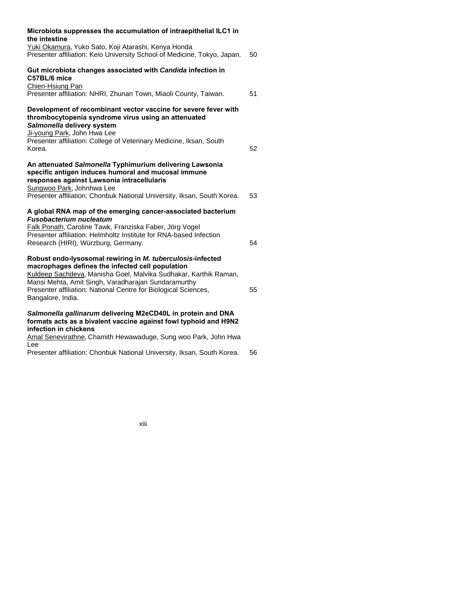| Microbiota suppresses the accumulation of intraepithelial ILC1 in<br>the intestine                                                                                                                                                                                                                                                |    |
|-----------------------------------------------------------------------------------------------------------------------------------------------------------------------------------------------------------------------------------------------------------------------------------------------------------------------------------|----|
| Yuki Okamura, Yuko Sato, Koji Atarashi, Kenya Honda<br>Presenter affiliation: Keio University School of Medicine, Tokyo, Japan.                                                                                                                                                                                                   | 50 |
| Gut microbiota changes associated with Candida infection in<br>C57BL/6 mice<br>Chien-Hsiung Pan                                                                                                                                                                                                                                   |    |
| Presenter affiliation: NHRI, Zhunan Town, Miaoli County, Taiwan.                                                                                                                                                                                                                                                                  | 51 |
| Development of recombinant vector vaccine for severe fever with<br>thrombocytopenia syndrome virus using an attenuated<br>Salmonella delivery system<br>Ji-young Park, John Hwa Lee                                                                                                                                               |    |
| Presenter affiliation: College of Veterinary Medicine, Iksan, South<br>Korea.                                                                                                                                                                                                                                                     | 52 |
| An attenuated Salmonella Typhimurium delivering Lawsonia<br>specific antigen induces humoral and mucosal immune<br>responses against Lawsonia intracellularis<br>Sungwoo Park, Johnhwa Lee                                                                                                                                        |    |
| Presenter affiliation: Chonbuk National University, Iksan, South Korea.                                                                                                                                                                                                                                                           | 53 |
| A global RNA map of the emerging cancer-associated bacterium<br><b>Fusobacterium nucleatum</b><br>Falk Ponath, Caroline Tawk, Franziska Faber, Jörg Vogel                                                                                                                                                                         |    |
| Presenter affiliation: Helmholtz Institute for RNA-based Infection<br>Research (HIRI), Würzburg, Germany.                                                                                                                                                                                                                         | 54 |
| Robust endo-lysosomal rewiring in M. tuberculosis-infected<br>macrophages defines the infected cell population<br>Kuldeep Sachdeva, Manisha Goel, Malvika Sudhakar, Karthik Raman,<br>Mansi Mehta, Amit Singh, Varadharajan Sundaramurthy<br>Presenter affiliation: National Centre for Biological Sciences,<br>Bangalore, India. | 55 |
| Salmonella gallinarum delivering M2eCD40L in protein and DNA<br>formats acts as a bivalent vaccine against fowl typhoid and H9N2                                                                                                                                                                                                  |    |
| infection in chickens<br>Amal Senevirathne, Chamith Hewawaduge, Sung woo Park, John Hwa                                                                                                                                                                                                                                           |    |

Lee

Presenter affiliation: Chonbuk National University, Iksan, South Korea. 56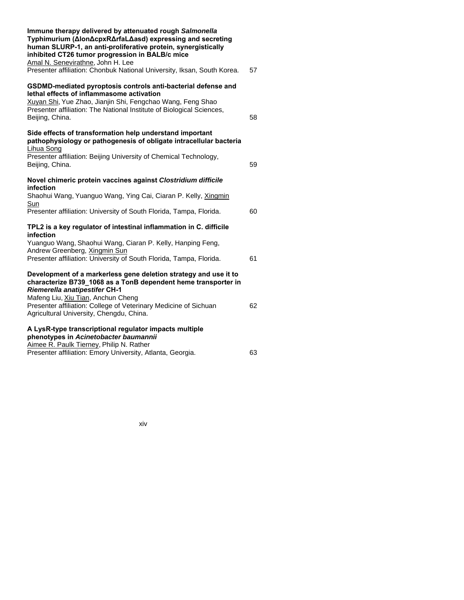| Immune therapy delivered by attenuated rough Salmonella<br>Typhimurium (ΔlonΔcpxRΔrfaLΔasd) expressing and secreting<br>human SLURP-1, an anti-proliferative protein, synergistically<br>inhibited CT26 tumor progression in BALB/c mice<br>Amal N. Senevirathne, John H. Lee                                                    |    |
|----------------------------------------------------------------------------------------------------------------------------------------------------------------------------------------------------------------------------------------------------------------------------------------------------------------------------------|----|
| Presenter affiliation: Chonbuk National University, Iksan, South Korea.                                                                                                                                                                                                                                                          | 57 |
| GSDMD-mediated pyroptosis controls anti-bacterial defense and<br>lethal effects of inflammasome activation<br>Xuyan Shi, Yue Zhao, Jianjin Shi, Fengchao Wang, Feng Shao<br>Presenter affiliation: The National Institute of Biological Sciences,<br>Beijing, China.                                                             | 58 |
| Side effects of transformation help understand important<br>pathophysiology or pathogenesis of obligate intracellular bacteria<br>Lihua Song                                                                                                                                                                                     |    |
| Presenter affiliation: Beijing University of Chemical Technology,<br>Beijing, China.                                                                                                                                                                                                                                             | 59 |
| Novel chimeric protein vaccines against Clostridium difficile<br>infection                                                                                                                                                                                                                                                       |    |
| Shaohui Wang, Yuanguo Wang, Ying Cai, Ciaran P. Kelly, Xingmin<br><u>Sun</u>                                                                                                                                                                                                                                                     |    |
| Presenter affiliation: University of South Florida, Tampa, Florida.                                                                                                                                                                                                                                                              | 60 |
| TPL2 is a key regulator of intestinal inflammation in C. difficile<br>infection                                                                                                                                                                                                                                                  |    |
| Yuanguo Wang, Shaohui Wang, Ciaran P. Kelly, Hanping Feng,<br>Andrew Greenberg, Xingmin Sun                                                                                                                                                                                                                                      |    |
| Presenter affiliation: University of South Florida, Tampa, Florida.                                                                                                                                                                                                                                                              | 61 |
| Development of a markerless gene deletion strategy and use it to<br>characterize B739 1068 as a TonB dependent heme transporter in<br><b>Riemerella anatipestifer CH-1</b><br>Mafeng Liu, Xiu Tian, Anchun Cheng<br>Presenter affiliation: College of Veterinary Medicine of Sichuan<br>Agricultural University, Chengdu, China. | 62 |
| A LysR-type transcriptional regulator impacts multiple<br>phenotypes in Acinetobacter baumannii                                                                                                                                                                                                                                  |    |
| Aimee R. Paulk Tierney, Philip N. Rather<br>Presenter affiliation: Emory University, Atlanta, Georgia.                                                                                                                                                                                                                           | 63 |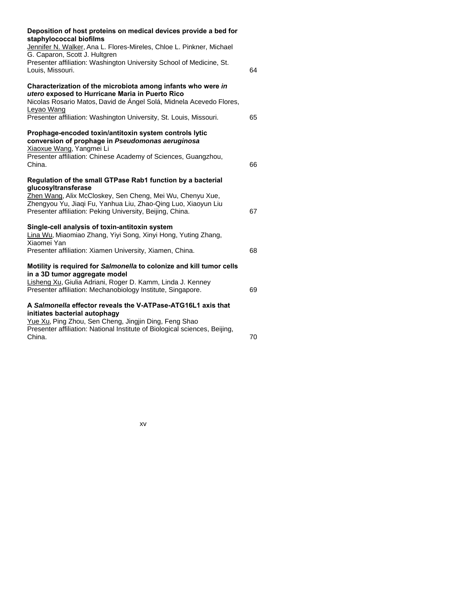| Deposition of host proteins on medical devices provide a bed for<br>staphylococcal biofilms<br>Jennifer N. Walker, Ana L. Flores-Mireles, Chloe L. Pinkner, Michael<br>G. Caparon, Scott J. Hultgren                                                                       |    |
|----------------------------------------------------------------------------------------------------------------------------------------------------------------------------------------------------------------------------------------------------------------------------|----|
| Presenter affiliation: Washington University School of Medicine, St.<br>Louis, Missouri.                                                                                                                                                                                   | 64 |
| Characterization of the microbiota among infants who were in<br>utero exposed to Hurricane Maria in Puerto Rico<br>Nicolas Rosario Matos, David de Ángel Solá, Midnela Acevedo Flores,<br>Leyao Wang<br>Presenter affiliation: Washington University, St. Louis, Missouri. | 65 |
| Prophage-encoded toxin/antitoxin system controls lytic<br>conversion of prophage in Pseudomonas aeruginosa<br>Xiaoxue Wang, Yangmei Li<br>Presenter affiliation: Chinese Academy of Sciences, Guangzhou,                                                                   |    |
| China.                                                                                                                                                                                                                                                                     | 66 |
| Regulation of the small GTPase Rab1 function by a bacterial<br>glucosyltransferase                                                                                                                                                                                         |    |
| Zhen Wang, Alix McCloskey, Sen Cheng, Mei Wu, Chenyu Xue,<br>Zhengyou Yu, Jiaqi Fu, Yanhua Liu, Zhao-Qing Luo, Xiaoyun Liu<br>Presenter affiliation: Peking University, Beijing, China.                                                                                    | 67 |
| Single-cell analysis of toxin-antitoxin system<br>Lina Wu, Miaomiao Zhang, Yiyi Song, Xinyi Hong, Yuting Zhang,<br>Xiaomei Yan                                                                                                                                             |    |
| Presenter affiliation: Xiamen University, Xiamen, China.                                                                                                                                                                                                                   | 68 |
| Motility is required for Salmonella to colonize and kill tumor cells<br>in a 3D tumor aggregate model<br>Lisheng Xu, Giulia Adriani, Roger D. Kamm, Linda J. Kenney                                                                                                        |    |
| Presenter affiliation: Mechanobiology Institute, Singapore.                                                                                                                                                                                                                | 69 |
| A Salmonella effector reveals the V-ATPase-ATG16L1 axis that<br>initiates bacterial autophagy                                                                                                                                                                              |    |
| Yue Xu, Ping Zhou, Sen Cheng, Jingjin Ding, Feng Shao<br>Presenter affiliation: National Institute of Biological sciences, Beijing,<br>China.                                                                                                                              | 70 |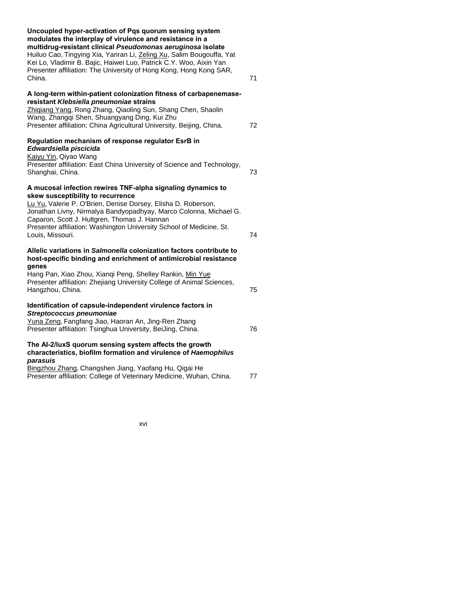| Uncoupled hyper-activation of Pqs quorum sensing system<br>modulates the interplay of virulence and resistance in a<br>multidrug-resistant clinical Pseudomonas aeruginosa isolate<br>Huiluo Cao, Tingying Xia, Yanran Li, Zeling Xu, Salim Bougouffa, Yat<br>Kei Lo, Vladimir B. Bajic, Haiwei Luo, Patrick C.Y. Woo, Aixin Yan<br>Presenter affiliation: The University of Hong Kong, Hong Kong SAR,<br>China. | 71 |
|------------------------------------------------------------------------------------------------------------------------------------------------------------------------------------------------------------------------------------------------------------------------------------------------------------------------------------------------------------------------------------------------------------------|----|
|                                                                                                                                                                                                                                                                                                                                                                                                                  |    |
| A long-term within-patient colonization fitness of carbapenemase-<br>resistant Klebsiella pneumoniae strains<br>Zhiqiang Yang, Rong Zhang, Qiaoling Sun, Shang Chen, Shaolin<br>Wang, Zhangqi Shen, Shuangyang Ding, Kui Zhu<br>Presenter affiliation: China Agricultural University, Beijing, China.                                                                                                            | 72 |
| Regulation mechanism of response regulator EsrB in<br>Edwardsiella piscicida                                                                                                                                                                                                                                                                                                                                     |    |
| Kaiyu Yin, Qiyao Wang<br>Presenter affiliation: East China University of Science and Technology,<br>Shanghai, China.                                                                                                                                                                                                                                                                                             | 73 |
| A mucosal infection rewires TNF-alpha signaling dynamics to                                                                                                                                                                                                                                                                                                                                                      |    |
| skew susceptibility to recurrence<br>Lu Yu, Valerie P. O'Brien, Denise Dorsey, Elisha D. Roberson,<br>Jonathan Livny, Nirmalya Bandyopadhyay, Marco Colonna, Michael G.<br>Caparon, Scott J. Hultgren, Thomas J. Hannan<br>Presenter affiliation: Washington University School of Medicine, St.<br>Louis, Missouri.                                                                                              | 74 |
| Allelic variations in Salmonella colonization factors contribute to<br>host-specific binding and enrichment of antimicrobial resistance<br>genes                                                                                                                                                                                                                                                                 |    |
| Hang Pan, Xiao Zhou, Xianqi Peng, Shelley Rankin, Min Yue<br>Presenter affiliation: Zhejiang University College of Animal Sciences,<br>Hangzhou, China.                                                                                                                                                                                                                                                          | 75 |
| Identification of capsule-independent virulence factors in<br>Streptococcus pneumoniae                                                                                                                                                                                                                                                                                                                           |    |
| Yuna Zeng, Fangfang Jiao, Haoran An, Jing-Ren Zhang<br>Presenter affiliation: Tsinghua University, BeiJing, China.                                                                                                                                                                                                                                                                                               | 76 |
| The AI-2/luxS quorum sensing system affects the growth<br>characteristics, biofilm formation and virulence of Haemophilus<br>parasuis                                                                                                                                                                                                                                                                            |    |
| Bingzhou Zhang, Changshen Jiang, Yaofang Hu, Qigai He<br>Presenter affiliation: College of Veterinary Medicine, Wuhan, China.                                                                                                                                                                                                                                                                                    | 77 |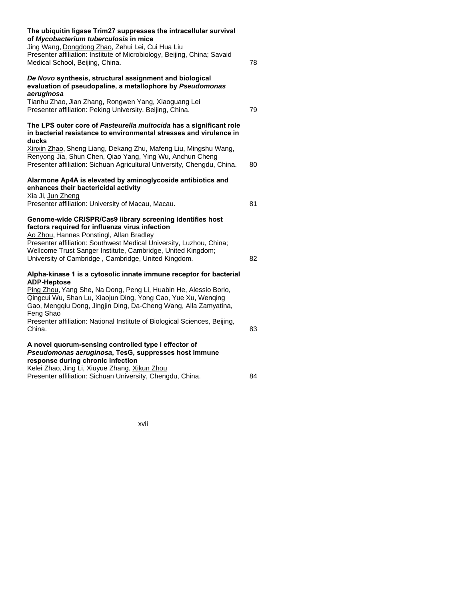| The ubiquitin ligase Trim27 suppresses the intracellular survival<br>of Mycobacterium tuberculosis in mice<br>Jing Wang, Dongdong Zhao, Zehui Lei, Cui Hua Liu<br>Presenter affiliation: Institute of Microbiology, Beijing, China; Savaid<br>Medical School, Beijing, China.                                                                        | 78 |
|------------------------------------------------------------------------------------------------------------------------------------------------------------------------------------------------------------------------------------------------------------------------------------------------------------------------------------------------------|----|
| De Novo synthesis, structural assignment and biological<br>evaluation of pseudopaline, a metallophore by Pseudomonas<br>aeruginosa<br>Tianhu Zhao, Jian Zhang, Rongwen Yang, Xiaoguang Lei<br>Presenter affiliation: Peking University, Beijing, China.                                                                                              | 79 |
| The LPS outer core of Pasteurella multocida has a significant role<br>in bacterial resistance to environmental stresses and virulence in<br>ducks                                                                                                                                                                                                    |    |
| Xinxin Zhao, Sheng Liang, Dekang Zhu, Mafeng Liu, Mingshu Wang,<br>Renyong Jia, Shun Chen, Qiao Yang, Ying Wu, Anchun Cheng<br>Presenter affiliation: Sichuan Agricultural University, Chengdu, China.                                                                                                                                               | 80 |
| Alarmone Ap4A is elevated by aminoglycoside antibiotics and<br>enhances their bactericidal activity<br>Xia Ji, Jun Zheng<br>Presenter affiliation: University of Macau, Macau.                                                                                                                                                                       | 81 |
| Genome-wide CRISPR/Cas9 library screening identifies host<br>factors required for influenza virus infection<br>Ao Zhou, Hannes Ponstingl, Allan Bradley<br>Presenter affiliation: Southwest Medical University, Luzhou, China;<br>Wellcome Trust Sanger Institute, Cambridge, United Kingdom;<br>University of Cambridge, Cambridge, United Kingdom. | 82 |
| Alpha-kinase 1 is a cytosolic innate immune receptor for bacterial<br><b>ADP-Heptose</b><br>Ping Zhou, Yang She, Na Dong, Peng Li, Huabin He, Alessio Borio,<br>Qingcui Wu, Shan Lu, Xiaojun Ding, Yong Cao, Yue Xu, Wenqing<br>Gao, Mengqiu Dong, Jingjin Ding, Da-Cheng Wang, Alla Zamyatina,<br>Feng Shao                                         |    |
| Presenter affiliation: National Institute of Biological Sciences, Beijing,<br>China.                                                                                                                                                                                                                                                                 | 83 |
| A novel quorum-sensing controlled type I effector of<br>Pseudomonas aeruginosa, TesG, suppresses host immune<br>response during chronic infection<br>Kelei Zhao, Jing Li, Xiuyue Zhang, Xikun Zhou                                                                                                                                                   |    |
| Presenter affiliation: Sichuan University, Chengdu, China.                                                                                                                                                                                                                                                                                           | 84 |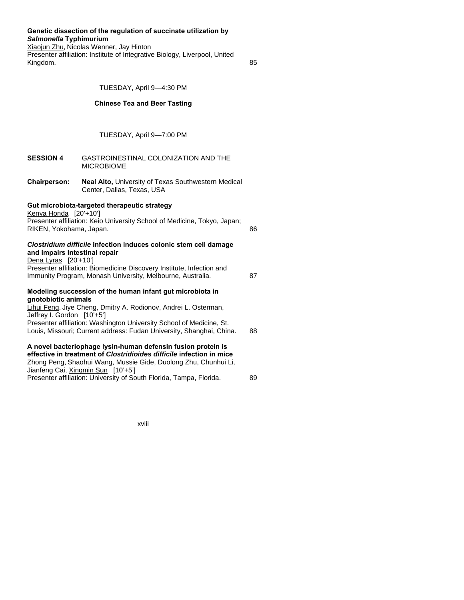### **Genetic dissection of the regulation of succinate utilization by**  *Salmonella* **Typhimurium**

Xiaojun Zhu, Nicolas Wenner, Jay Hinton Presenter affiliation: Institute of Integrative Biology, Liverpool, United Kingdom. 85

TUESDAY, April 9—4:30 PM

# **Chinese Tea and Beer Tasting**

# TUESDAY, April 9—7:00 PM

| <b>SESSION 4</b>                                        | GASTROINESTINAL COLONIZATION AND THE<br><b>MICROBIOME</b>                                                                                                                                                                                                                    |    |
|---------------------------------------------------------|------------------------------------------------------------------------------------------------------------------------------------------------------------------------------------------------------------------------------------------------------------------------------|----|
| <b>Chairperson:</b>                                     | <b>Neal Alto, University of Texas Southwestern Medical</b><br>Center, Dallas, Texas, USA                                                                                                                                                                                     |    |
| Kenya Honda [20'+10']<br>RIKEN, Yokohama, Japan.        | Gut microbiota-targeted therapeutic strategy<br>Presenter affiliation: Keio University School of Medicine, Tokyo, Japan;                                                                                                                                                     | 86 |
| and impairs intestinal repair<br>Dena Lyras $[20'+10']$ | Clostridium difficile infection induces colonic stem cell damage<br>Presenter affiliation: Biomedicine Discovery Institute, Infection and<br>Immunity Program, Monash University, Melbourne, Australia.                                                                      | 87 |
| gnotobiotic animals<br>Jeffrey I. Gordon [10'+5']       | Modeling succession of the human infant gut microbiota in<br>Lihui Feng, Jiye Cheng, Dmitry A. Rodionov, Andrei L. Osterman,<br>Presenter affiliation: Washington University School of Medicine, St.<br>Louis, Missouri; Current address: Fudan University, Shanghai, China. | 88 |
|                                                         | A novel bacteriophage lysin-human defensin fusion protein is<br>effective in treatment of Clostridioides difficile infection in mice<br>Zhong Peng, Shaohui Wang, Mussie Gide, Duolong Zhu, Chunhui Li,<br>Jianfeng Cai, Xingmin Sun [10'+5']                                |    |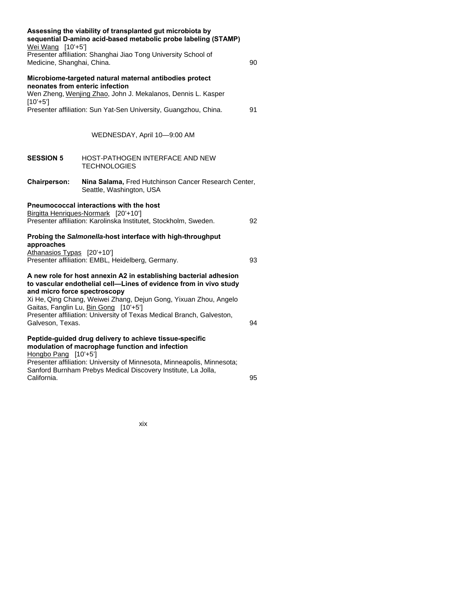| Wei Wang [10'+5']<br>Medicine, Shanghai, China. | Assessing the viability of transplanted gut microbiota by<br>sequential D-amino acid-based metabolic probe labeling (STAMP)<br>Presenter affiliation: Shanghai Jiao Tong University School of                                                                                                                                                                | 90 |
|-------------------------------------------------|--------------------------------------------------------------------------------------------------------------------------------------------------------------------------------------------------------------------------------------------------------------------------------------------------------------------------------------------------------------|----|
| $[10'+5']$                                      | Microbiome-targeted natural maternal antibodies protect<br>neonates from enteric infection<br>Wen Zheng, Wenjing Zhao, John J. Mekalanos, Dennis L. Kasper                                                                                                                                                                                                   |    |
|                                                 | Presenter affiliation: Sun Yat-Sen University, Guangzhou, China.                                                                                                                                                                                                                                                                                             | 91 |
|                                                 | WEDNESDAY, April 10-9:00 AM                                                                                                                                                                                                                                                                                                                                  |    |
| <b>SESSION 5</b>                                | HOST-PATHOGEN INTERFACE AND NEW<br><b>TECHNOLOGIES</b>                                                                                                                                                                                                                                                                                                       |    |
| <b>Chairperson:</b>                             | Nina Salama, Fred Hutchinson Cancer Research Center,<br>Seattle, Washington, USA                                                                                                                                                                                                                                                                             |    |
|                                                 | <b>Pneumococcal interactions with the host</b>                                                                                                                                                                                                                                                                                                               |    |
|                                                 | Birgitta Henriques-Normark [20'+10']                                                                                                                                                                                                                                                                                                                         |    |
|                                                 | Presenter affiliation: Karolinska Institutet, Stockholm, Sweden.                                                                                                                                                                                                                                                                                             | 92 |
| approaches                                      | Probing the Salmonella-host interface with high-throughput                                                                                                                                                                                                                                                                                                   |    |
| Athanasios Typas [20'+10']                      | Presenter affiliation: EMBL, Heidelberg, Germany.                                                                                                                                                                                                                                                                                                            | 93 |
| Galveson, Texas.                                | A new role for host annexin A2 in establishing bacterial adhesion<br>to vascular endothelial cell-Lines of evidence from in vivo study<br>and micro force spectroscopy<br>Xi He, Qing Chang, Weiwei Zhang, Dejun Gong, Yixuan Zhou, Angelo<br>Gaitas, Fanglin Lu, Bin Gong [10'+5']<br>Presenter affiliation: University of Texas Medical Branch, Galveston, | 94 |
| Hongbo Pang [10'+5']                            | Peptide-guided drug delivery to achieve tissue-specific<br>modulation of macrophage function and infection<br>Presenter affiliation: University of Minnesota, Minneapolis, Minnesota;<br>Sanford Burnham Prebys Medical Discovery Institute, La Jolla,                                                                                                       |    |
| California.                                     |                                                                                                                                                                                                                                                                                                                                                              | 95 |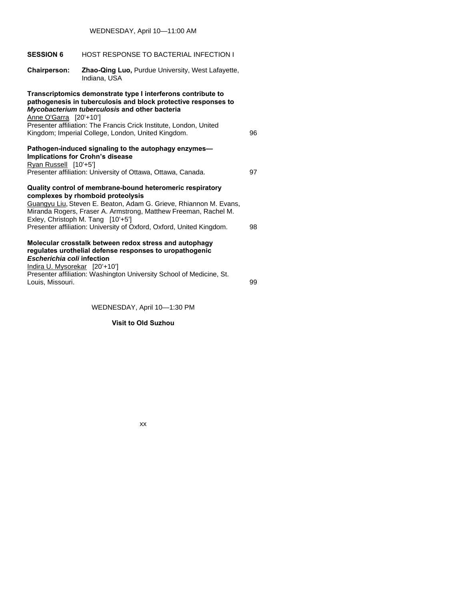| <b>SESSION 6</b>                                                                                                                                                                                                                                                             | HOST RESPONSE TO BACTERIAL INFECTION I                                                                                                                                                                                                                                                                                                              |    |
|------------------------------------------------------------------------------------------------------------------------------------------------------------------------------------------------------------------------------------------------------------------------------|-----------------------------------------------------------------------------------------------------------------------------------------------------------------------------------------------------------------------------------------------------------------------------------------------------------------------------------------------------|----|
| <b>Chairperson:</b>                                                                                                                                                                                                                                                          | <b>Zhao-Qing Luo, Purdue University, West Lafayette,</b><br>Indiana, USA                                                                                                                                                                                                                                                                            |    |
| Anne O'Garra [20'+10']                                                                                                                                                                                                                                                       | Transcriptomics demonstrate type I interferons contribute to<br>pathogenesis in tuberculosis and block protective responses to<br>Mycobacterium tuberculosis and other bacteria<br>Presenter affiliation: The Francis Crick Institute, London, United<br>Kingdom; Imperial College, London, United Kingdom.                                         | 96 |
| Ryan Russell [10'+5']                                                                                                                                                                                                                                                        | Pathogen-induced signaling to the autophagy enzymes-<br><b>Implications for Crohn's disease</b><br>Presenter affiliation: University of Ottawa, Ottawa, Canada.                                                                                                                                                                                     | 97 |
|                                                                                                                                                                                                                                                                              | Quality control of membrane-bound heteromeric respiratory<br>complexes by rhomboid proteolysis<br>Guangyu Liu, Steven E. Beaton, Adam G. Grieve, Rhiannon M. Evans,<br>Miranda Rogers, Fraser A. Armstrong, Matthew Freeman, Rachel M.<br>Exley, Christoph M. Tang [10'+5']<br>Presenter affiliation: University of Oxford, Oxford, United Kingdom. | 98 |
| Molecular crosstalk between redox stress and autophagy<br>regulates urothelial defense responses to uropathogenic<br>Escherichia coli infection<br>Indira U. Mysorekar [20'+10']<br>Presenter affiliation: Washington University School of Medicine, St.<br>Louis, Missouri. |                                                                                                                                                                                                                                                                                                                                                     | 99 |
|                                                                                                                                                                                                                                                                              |                                                                                                                                                                                                                                                                                                                                                     |    |

WEDNESDAY, April 10—1:30 PM

# **Visit to Old Suzhou**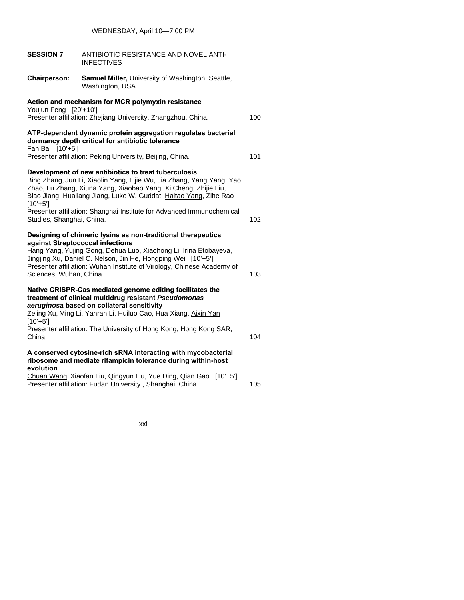|                           | WEDNESDAY, April 10-7:00 PM                                                                                                                                                                                                                                                                                    |     |
|---------------------------|----------------------------------------------------------------------------------------------------------------------------------------------------------------------------------------------------------------------------------------------------------------------------------------------------------------|-----|
| <b>SESSION 7</b>          | ANTIBIOTIC RESISTANCE AND NOVEL ANTI-<br><b>INFECTIVES</b>                                                                                                                                                                                                                                                     |     |
| <b>Chairperson:</b>       | Samuel Miller, University of Washington, Seattle,<br>Washington, USA                                                                                                                                                                                                                                           |     |
|                           | Action and mechanism for MCR polymyxin resistance                                                                                                                                                                                                                                                              |     |
| Youjun Feng [20'+10']     | Presenter affiliation: Zhejiang University, Zhangzhou, China.                                                                                                                                                                                                                                                  | 100 |
| Fan Bai [10'+5']          | ATP-dependent dynamic protein aggregation regulates bacterial<br>dormancy depth critical for antibiotic tolerance                                                                                                                                                                                              |     |
|                           | Presenter affiliation: Peking University, Beijing, China.                                                                                                                                                                                                                                                      | 101 |
| $[10'+5']$                | Development of new antibiotics to treat tuberculosis<br>Bing Zhang, Jun Li, Xiaolin Yang, Lijie Wu, Jia Zhang, Yang Yang, Yao<br>Zhao, Lu Zhang, Xiuna Yang, Xiaobao Yang, Xi Cheng, Zhijie Liu,<br>Biao Jiang, Hualiang Jiang, Luke W. Guddat, Haitao Yang, Zihe Rao                                          |     |
| Studies, Shanghai, China. | Presenter affiliation: Shanghai Institute for Advanced Immunochemical                                                                                                                                                                                                                                          | 102 |
| Sciences, Wuhan, China.   | Designing of chimeric lysins as non-traditional therapeutics<br>against Streptococcal infections<br>Hang Yang, Yujing Gong, Dehua Luo, Xiaohong Li, Irina Etobayeva,<br>Jingjing Xu, Daniel C. Nelson, Jin He, Hongping Wei [10'+5']<br>Presenter affiliation: Wuhan Institute of Virology, Chinese Academy of | 103 |
| $[10'+5']$<br>China.      | Native CRISPR-Cas mediated genome editing facilitates the<br>treatment of clinical multidrug resistant Pseudomonas<br>aeruginosa based on collateral sensitivity<br>Zeling Xu, Ming Li, Yanran Li, Huiluo Cao, Hua Xiang, Aixin Yan<br>Presenter affiliation: The University of Hong Kong, Hong Kong SAR,      | 104 |
|                           | A conserved cytosine-rich sRNA interacting with mycobacterial<br>ribosome and mediate rifampicin tolerance during within-host                                                                                                                                                                                  |     |
| evolution                 | Chuan Wang, Xiaofan Liu, Qingyun Liu, Yue Ding, Qian Gao [10'+5']<br>Presenter affiliation: Fudan University, Shanghai, China.                                                                                                                                                                                 | 105 |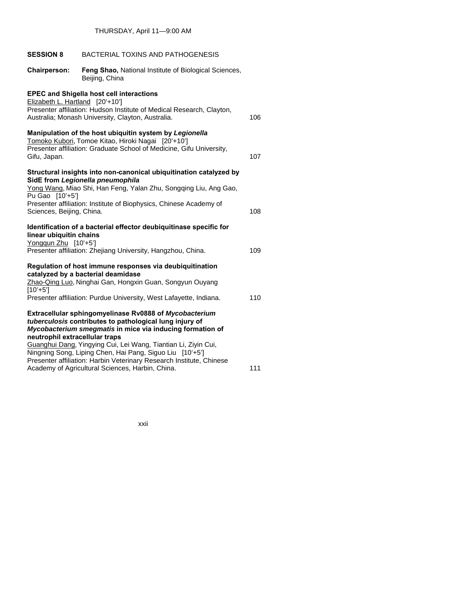| <b>SESSION 8</b>                                | BACTERIAL TOXINS AND PATHOGENESIS                                                                                                                                                                                                                                                                            |     |
|-------------------------------------------------|--------------------------------------------------------------------------------------------------------------------------------------------------------------------------------------------------------------------------------------------------------------------------------------------------------------|-----|
| <b>Chairperson:</b>                             | Feng Shao, National Institute of Biological Sciences,<br>Beijing, China                                                                                                                                                                                                                                      |     |
| Elizabeth L. Hartland [20'+10']                 | <b>EPEC and Shigella host cell interactions</b><br>Presenter affiliation: Hudson Institute of Medical Research, Clayton,<br>Australia; Monash University, Clayton, Australia.                                                                                                                                | 106 |
| Gifu, Japan.                                    | Manipulation of the host ubiquitin system by Legionella<br>Tomoko Kubori, Tomoe Kitao, Hiroki Nagai [20'+10']<br>Presenter affiliation: Graduate School of Medicine, Gifu University,                                                                                                                        | 107 |
| Pu Gao [10'+5']                                 | Structural insights into non-canonical ubiquitination catalyzed by<br>SidE from Legionella pneumophila<br>Yong Wang, Miao Shi, Han Feng, Yalan Zhu, Songqing Liu, Ang Gao,                                                                                                                                   |     |
| Sciences, Beijing, China.                       | Presenter affiliation: Institute of Biophysics, Chinese Academy of                                                                                                                                                                                                                                           | 108 |
| linear ubiquitin chains<br>Yongqun Zhu [10'+5'] | Identification of a bacterial effector deubiquitinase specific for                                                                                                                                                                                                                                           |     |
|                                                 | Presenter affiliation: Zhejiang University, Hangzhou, China.                                                                                                                                                                                                                                                 | 109 |
|                                                 | Regulation of host immune responses via deubiquitination<br>catalyzed by a bacterial deamidase<br>Zhao-Qing Luo, Ninghai Gan, Hongxin Guan, Songyun Ouyang                                                                                                                                                   |     |
| $[10'+5']$                                      | Presenter affiliation: Purdue University, West Lafayette, Indiana.                                                                                                                                                                                                                                           | 110 |
| neutrophil extracellular traps                  | Extracellular sphingomyelinase Rv0888 of Mycobacterium<br>tuberculosis contributes to pathological lung injury of<br>Mycobacterium smegmatis in mice via inducing formation of<br>Guanghui Dang, Yingying Cui, Lei Wang, Tiantian Li, Ziyin Cui,<br>Ningning Song, Liping Chen, Hai Pang, Siguo Liu [10'+5'] |     |
|                                                 | Presenter affiliation: Harbin Veterinary Research Institute, Chinese<br>Academy of Agricultural Sciences, Harbin, China.                                                                                                                                                                                     | 111 |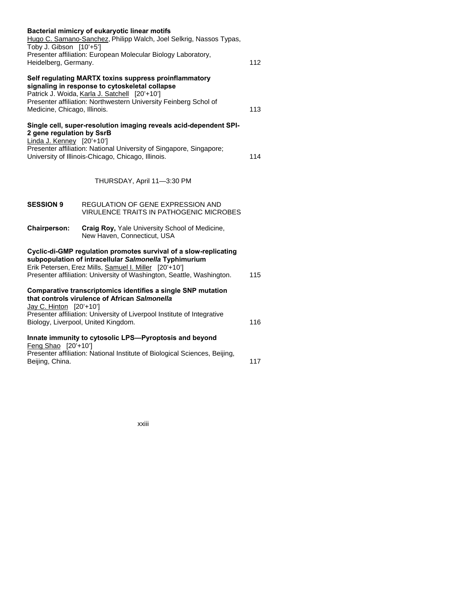| Toby J. Gibson [10'+5']                                | Bacterial mimicry of eukaryotic linear motifs<br>Hugo C. Samano-Sanchez, Philipp Walch, Joel Selkrig, Nassos Typas,                                                                                                                                         |     |
|--------------------------------------------------------|-------------------------------------------------------------------------------------------------------------------------------------------------------------------------------------------------------------------------------------------------------------|-----|
| Heidelberg, Germany.                                   | Presenter affiliation: European Molecular Biology Laboratory,                                                                                                                                                                                               | 112 |
| Medicine, Chicago, Illinois.                           | Self regulating MARTX toxins suppress proinflammatory<br>signaling in response to cytoskeletal collapse<br>Patrick J. Woida, Karla J. Satchell [20'+10']<br>Presenter affiliation: Northwestern University Feinberg Schol of                                | 113 |
| 2 gene regulation by SsrB<br>Linda J. Kenney [20'+10'] | Single cell, super-resolution imaging reveals acid-dependent SPI-<br>Presenter affiliation: National University of Singapore, Singapore;<br>University of Illinois-Chicago, Chicago, Illinois.                                                              | 114 |
|                                                        | THURSDAY, April 11-3:30 PM                                                                                                                                                                                                                                  |     |
| <b>SESSION 9</b>                                       | <b>REGULATION OF GENE EXPRESSION AND</b><br><b>VIRULENCE TRAITS IN PATHOGENIC MICROBES</b>                                                                                                                                                                  |     |
| <b>Chairperson:</b>                                    | <b>Craig Roy, Yale University School of Medicine,</b><br>New Haven, Connecticut, USA                                                                                                                                                                        |     |
|                                                        | Cyclic-di-GMP regulation promotes survival of a slow-replicating<br>subpopulation of intracellular Salmonella Typhimurium<br>Erik Petersen, Erez Mills, Samuel I. Miller [20'+10']<br>Presenter affiliation: University of Washington, Seattle, Washington. | 115 |
| Jay C. Hinton [20'+10']                                | Comparative transcriptomics identifies a single SNP mutation<br>that controls virulence of African Salmonella<br>Presenter affiliation: University of Liverpool Institute of Integrative<br>Biology, Liverpool, United Kingdom.                             | 116 |
| Feng Shao [20'+10']<br>Beijing, China.                 | Innate immunity to cytosolic LPS-Pyroptosis and beyond<br>Presenter affiliation: National Institute of Biological Sciences, Beijing,                                                                                                                        | 117 |
|                                                        |                                                                                                                                                                                                                                                             |     |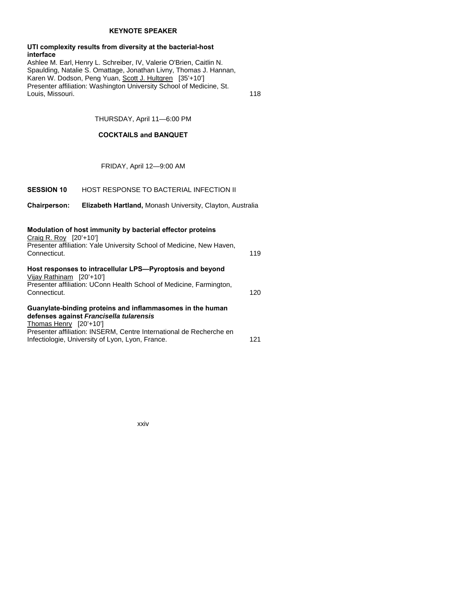## **KEYNOTE SPEAKER**

### **UTI complexity results from diversity at the bacterial-host interface**

Ashlee M. Earl, Henry L. Schreiber, IV, Valerie O'Brien, Caitlin N. Spaulding, Natalie S. Omattage, Jonathan Livny, Thomas J. Hannan, Karen W. Dodson, Peng Yuan, Scott J. Hultgren [35'+10'] Presenter affiliation: Washington University School of Medicine, St. Louis, Missouri. 118

# THURSDAY, April 11—6:00 PM

# **COCKTAILS and BANQUET**

FRIDAY, April 12—9:00 AM

# **SESSION 10** HOST RESPONSE TO BACTERIAL INFECTION II

**Chairperson: Elizabeth Hartland,** Monash University, Clayton, Australia

| Modulation of host immunity by bacterial effector proteins<br>Craig R. Roy $[20'+10']$<br>Presenter affiliation: Yale University School of Medicine, New Haven,<br>Connecticut.                                                                           | 119  |
|-----------------------------------------------------------------------------------------------------------------------------------------------------------------------------------------------------------------------------------------------------------|------|
| Host responses to intracellular LPS—Pyroptosis and beyond<br>Vijay Rathinam [20'+10']<br>Presenter affiliation: UConn Health School of Medicine, Farmington,<br>Connecticut.                                                                              | 120. |
| Guanylate-binding proteins and inflammasomes in the human<br>defenses against Francisella tularensis<br>Thomas Henry [20'+10']<br>Presenter affiliation: INSERM, Centre International de Recherche en<br>Infectiologie, University of Lyon, Lyon, France. | 121  |